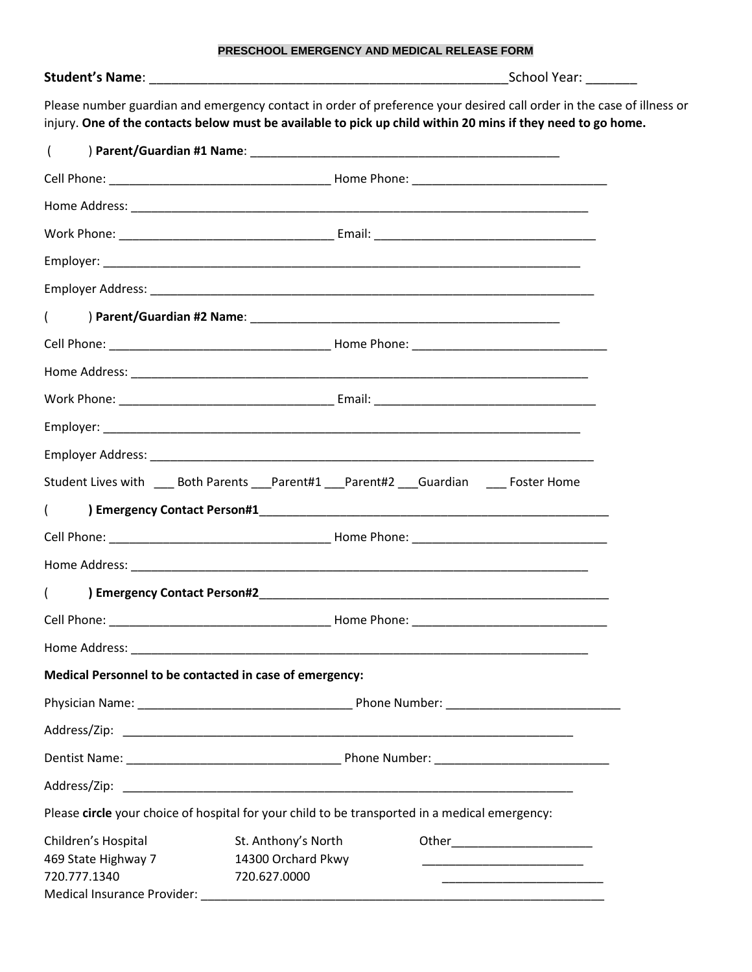| PRESCHOOL EMERGENCY AND MEDICAL RELEASE FORM |
|----------------------------------------------|
|----------------------------------------------|

| <b>Student's Name:</b> |  |
|------------------------|--|
|------------------------|--|

**Student's Name**: \_\_\_\_\_\_\_\_\_\_\_\_\_\_\_\_\_\_\_\_\_\_\_\_\_\_\_\_\_\_\_\_\_\_\_\_\_\_\_\_\_\_\_\_\_\_\_\_\_School Year: \_\_\_\_\_\_\_

Please number guardian and emergency contact in order of preference your desired call order in the case of illness or injury. **One of the contacts below must be available to pick up child within 20 mins if they need to go home.**

| $\overline{ }$                                                                                 |                                                                                                                                                                                    |  |  |  |
|------------------------------------------------------------------------------------------------|------------------------------------------------------------------------------------------------------------------------------------------------------------------------------------|--|--|--|
|                                                                                                |                                                                                                                                                                                    |  |  |  |
|                                                                                                |                                                                                                                                                                                    |  |  |  |
|                                                                                                |                                                                                                                                                                                    |  |  |  |
|                                                                                                |                                                                                                                                                                                    |  |  |  |
|                                                                                                |                                                                                                                                                                                    |  |  |  |
| $\sqrt{2}$                                                                                     |                                                                                                                                                                                    |  |  |  |
|                                                                                                |                                                                                                                                                                                    |  |  |  |
|                                                                                                |                                                                                                                                                                                    |  |  |  |
|                                                                                                |                                                                                                                                                                                    |  |  |  |
|                                                                                                |                                                                                                                                                                                    |  |  |  |
|                                                                                                |                                                                                                                                                                                    |  |  |  |
|                                                                                                | Student Lives with ____ Both Parents ____ Parent#1 ___ Parent#2 ___ Guardian _____ Foster Home                                                                                     |  |  |  |
| $\sqrt{2}$                                                                                     |                                                                                                                                                                                    |  |  |  |
|                                                                                                |                                                                                                                                                                                    |  |  |  |
|                                                                                                |                                                                                                                                                                                    |  |  |  |
| $\sqrt{2}$                                                                                     |                                                                                                                                                                                    |  |  |  |
|                                                                                                |                                                                                                                                                                                    |  |  |  |
|                                                                                                |                                                                                                                                                                                    |  |  |  |
| Medical Personnel to be contacted in case of emergency:                                        |                                                                                                                                                                                    |  |  |  |
|                                                                                                |                                                                                                                                                                                    |  |  |  |
| Address/Zip:                                                                                   |                                                                                                                                                                                    |  |  |  |
|                                                                                                |                                                                                                                                                                                    |  |  |  |
| Address/Zip:                                                                                   |                                                                                                                                                                                    |  |  |  |
| Please circle your choice of hospital for your child to be transported in a medical emergency: |                                                                                                                                                                                    |  |  |  |
| Children's Hospital<br>469 State Highway 7<br>720.777.1340                                     | St. Anthony's North<br>14300 Orchard Pkwy<br>720.627.0000<br><u> 1989 - Johann John Stein, markin fan it ferskearre fan it ferskearre fan it ferskearre fan it ferskearre fan </u> |  |  |  |